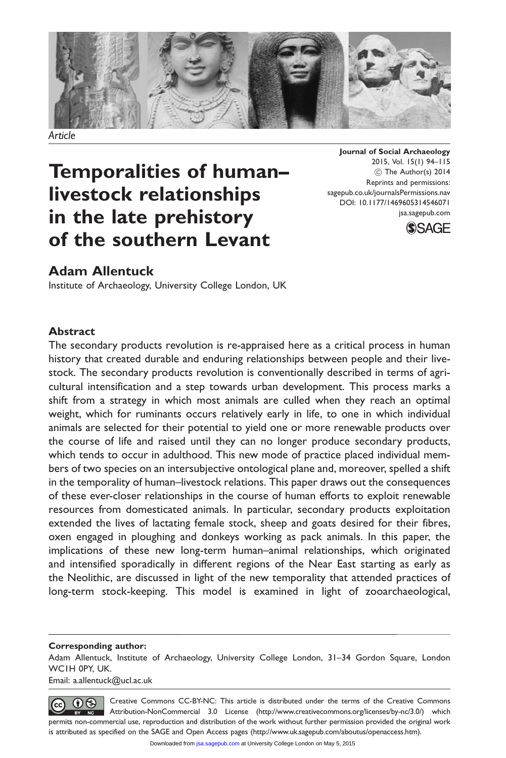

Article

# Temporalities of human– livestock relationships in the late prehistory of the southern Levant

Journal of Social Archaeology 2015, Vol. 15(1) 94–115 (C) The Author(s) 2014 Reprints and permissions: sagepub.co.uk/journalsPermissions.nav DOI: 10.1177/1469605314546071 jsa.sagepub.com



# Adam Allentuck

Institute of Archaeology, University College London, UK

### Abstract

The secondary products revolution is re-appraised here as a critical process in human history that created durable and enduring relationships between people and their livestock. The secondary products revolution is conventionally described in terms of agricultural intensification and a step towards urban development. This process marks a shift from a strategy in which most animals are culled when they reach an optimal weight, which for ruminants occurs relatively early in life, to one in which individual animals are selected for their potential to yield one or more renewable products over the course of life and raised until they can no longer produce secondary products, which tends to occur in adulthood. This new mode of practice placed individual members of two species on an intersubjective ontological plane and, moreover, spelled a shift in the temporality of human–livestock relations. This paper draws out the consequences of these ever-closer relationships in the course of human efforts to exploit renewable resources from domesticated animals. In particular, secondary products exploitation extended the lives of lactating female stock, sheep and goats desired for their fibres, oxen engaged in ploughing and donkeys working as pack animals. In this paper, the implications of these new long-term human–animal relationships, which originated and intensified sporadically in different regions of the Near East starting as early as the Neolithic, are discussed in light of the new temporality that attended practices of long-term stock-keeping. This model is examined in light of zooarchaeological,

#### Corresponding author:

Adam Allentuck, Institute of Archaeology, University College London, 31–34 Gordon Square, London WC1H 0PY, UK.

Email: a.allentuck@ucl.ac.uk

Creative Commons CC-BY-NC: This article is distributed under the terms of the Creative Commons  $\circledcirc$ Attribution-NonCommercial 3.0 License (http://www.creativecommons.org/licenses/by-nc/3.0/) which permits non-commercial use, reproduction and distribution of the work without further permission provided the original work is attributed as specified on the SAGE and Open Access pages (http://www.uk.sagepub.com/aboutus/openaccess.htm).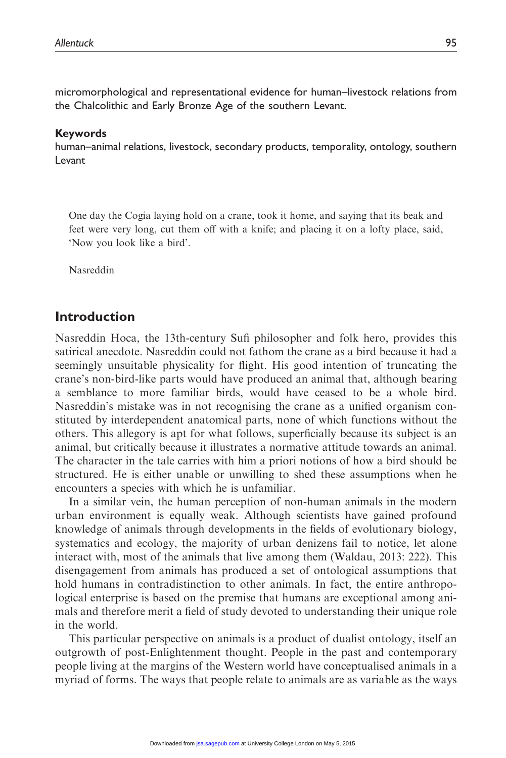micromorphological and representational evidence for human–livestock relations from the Chalcolithic and Early Bronze Age of the southern Levant.

#### Keywords

human–animal relations, livestock, secondary products, temporality, ontology, southern Levant

One day the Cogia laying hold on a crane, took it home, and saying that its beak and feet were very long, cut them off with a knife; and placing it on a lofty place, said, 'Now you look like a bird'.

Nasreddin

### Introduction

Nasreddin Hoca, the 13th-century Sufi philosopher and folk hero, provides this satirical anecdote. Nasreddin could not fathom the crane as a bird because it had a seemingly unsuitable physicality for flight. His good intention of truncating the crane's non-bird-like parts would have produced an animal that, although bearing a semblance to more familiar birds, would have ceased to be a whole bird. Nasreddin's mistake was in not recognising the crane as a unified organism constituted by interdependent anatomical parts, none of which functions without the others. This allegory is apt for what follows, superficially because its subject is an animal, but critically because it illustrates a normative attitude towards an animal. The character in the tale carries with him a priori notions of how a bird should be structured. He is either unable or unwilling to shed these assumptions when he encounters a species with which he is unfamiliar.

In a similar vein, the human perception of non-human animals in the modern urban environment is equally weak. Although scientists have gained profound knowledge of animals through developments in the fields of evolutionary biology, systematics and ecology, the majority of urban denizens fail to notice, let alone interact with, most of the animals that live among them (Waldau, 2013: 222). This disengagement from animals has produced a set of ontological assumptions that hold humans in contradistinction to other animals. In fact, the entire anthropological enterprise is based on the premise that humans are exceptional among animals and therefore merit a field of study devoted to understanding their unique role in the world.

This particular perspective on animals is a product of dualist ontology, itself an outgrowth of post-Enlightenment thought. People in the past and contemporary people living at the margins of the Western world have conceptualised animals in a myriad of forms. The ways that people relate to animals are as variable as the ways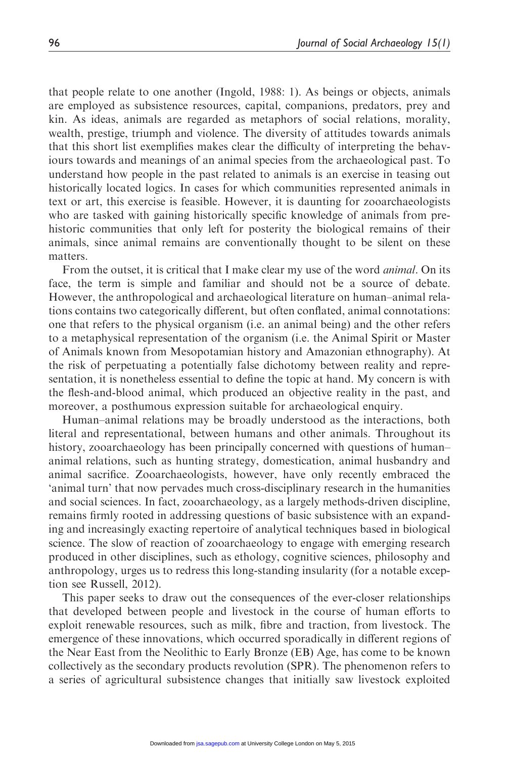that people relate to one another (Ingold, 1988: 1). As beings or objects, animals are employed as subsistence resources, capital, companions, predators, prey and kin. As ideas, animals are regarded as metaphors of social relations, morality, wealth, prestige, triumph and violence. The diversity of attitudes towards animals that this short list exemplifies makes clear the difficulty of interpreting the behaviours towards and meanings of an animal species from the archaeological past. To understand how people in the past related to animals is an exercise in teasing out historically located logics. In cases for which communities represented animals in text or art, this exercise is feasible. However, it is daunting for zooarchaeologists who are tasked with gaining historically specific knowledge of animals from prehistoric communities that only left for posterity the biological remains of their animals, since animal remains are conventionally thought to be silent on these matters.

From the outset, it is critical that I make clear my use of the word animal. On its face, the term is simple and familiar and should not be a source of debate. However, the anthropological and archaeological literature on human–animal relations contains two categorically different, but often conflated, animal connotations: one that refers to the physical organism (i.e. an animal being) and the other refers to a metaphysical representation of the organism (i.e. the Animal Spirit or Master of Animals known from Mesopotamian history and Amazonian ethnography). At the risk of perpetuating a potentially false dichotomy between reality and representation, it is nonetheless essential to define the topic at hand. My concern is with the flesh-and-blood animal, which produced an objective reality in the past, and moreover, a posthumous expression suitable for archaeological enquiry.

Human–animal relations may be broadly understood as the interactions, both literal and representational, between humans and other animals. Throughout its history, zooarchaeology has been principally concerned with questions of human– animal relations, such as hunting strategy, domestication, animal husbandry and animal sacrifice. Zooarchaeologists, however, have only recently embraced the 'animal turn' that now pervades much cross-disciplinary research in the humanities and social sciences. In fact, zooarchaeology, as a largely methods-driven discipline, remains firmly rooted in addressing questions of basic subsistence with an expanding and increasingly exacting repertoire of analytical techniques based in biological science. The slow of reaction of zooarchaeology to engage with emerging research produced in other disciplines, such as ethology, cognitive sciences, philosophy and anthropology, urges us to redress this long-standing insularity (for a notable exception see Russell, 2012).

This paper seeks to draw out the consequences of the ever-closer relationships that developed between people and livestock in the course of human efforts to exploit renewable resources, such as milk, fibre and traction, from livestock. The emergence of these innovations, which occurred sporadically in different regions of the Near East from the Neolithic to Early Bronze (EB) Age, has come to be known collectively as the secondary products revolution (SPR). The phenomenon refers to a series of agricultural subsistence changes that initially saw livestock exploited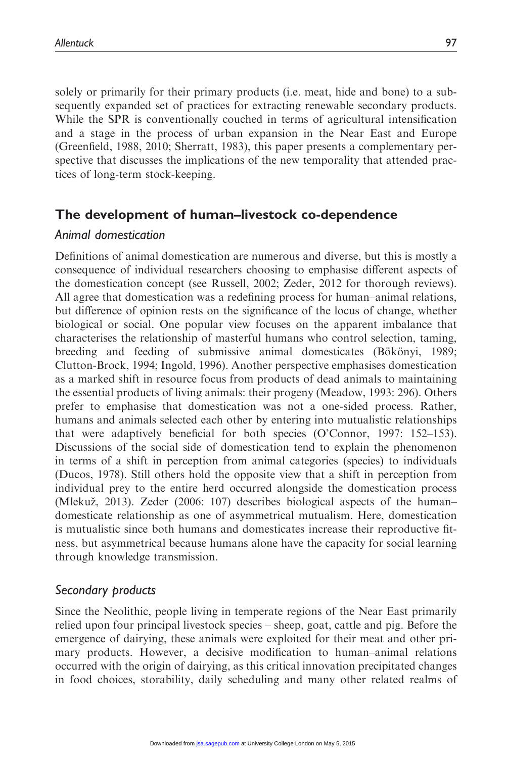solely or primarily for their primary products (i.e. meat, hide and bone) to a subsequently expanded set of practices for extracting renewable secondary products. While the SPR is conventionally couched in terms of agricultural intensification and a stage in the process of urban expansion in the Near East and Europe (Greenfield, 1988, 2010; Sherratt, 1983), this paper presents a complementary perspective that discusses the implications of the new temporality that attended practices of long-term stock-keeping.

# The development of human–livestock co-dependence

### Animal domestication

Definitions of animal domestication are numerous and diverse, but this is mostly a consequence of individual researchers choosing to emphasise different aspects of the domestication concept (see Russell, 2002; Zeder, 2012 for thorough reviews). All agree that domestication was a redefining process for human–animal relations, but difference of opinion rests on the significance of the locus of change, whether biological or social. One popular view focuses on the apparent imbalance that characterises the relationship of masterful humans who control selection, taming, breeding and feeding of submissive animal domesticates (Bökönyi, 1989; Clutton-Brock, 1994; Ingold, 1996). Another perspective emphasises domestication as a marked shift in resource focus from products of dead animals to maintaining the essential products of living animals: their progeny (Meadow, 1993: 296). Others prefer to emphasise that domestication was not a one-sided process. Rather, humans and animals selected each other by entering into mutualistic relationships that were adaptively beneficial for both species (O'Connor, 1997: 152–153). Discussions of the social side of domestication tend to explain the phenomenon in terms of a shift in perception from animal categories (species) to individuals (Ducos, 1978). Still others hold the opposite view that a shift in perception from individual prey to the entire herd occurred alongside the domestication process (Mlekuž, 2013). Zeder  $(2006: 107)$  describes biological aspects of the human– domesticate relationship as one of asymmetrical mutualism. Here, domestication is mutualistic since both humans and domesticates increase their reproductive fitness, but asymmetrical because humans alone have the capacity for social learning through knowledge transmission.

# Secondary products

Since the Neolithic, people living in temperate regions of the Near East primarily relied upon four principal livestock species – sheep, goat, cattle and pig. Before the emergence of dairying, these animals were exploited for their meat and other primary products. However, a decisive modification to human–animal relations occurred with the origin of dairying, as this critical innovation precipitated changes in food choices, storability, daily scheduling and many other related realms of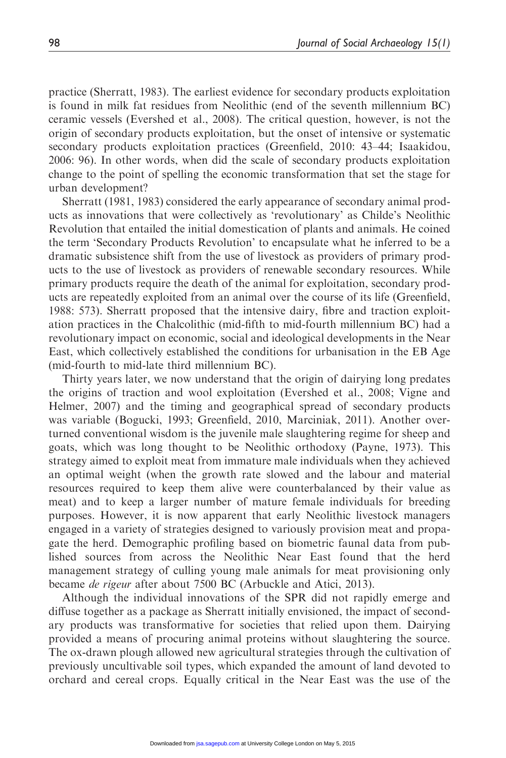practice (Sherratt, 1983). The earliest evidence for secondary products exploitation is found in milk fat residues from Neolithic (end of the seventh millennium BC) ceramic vessels (Evershed et al., 2008). The critical question, however, is not the origin of secondary products exploitation, but the onset of intensive or systematic secondary products exploitation practices (Greenfield, 2010: 43–44; Isaakidou, 2006: 96). In other words, when did the scale of secondary products exploitation change to the point of spelling the economic transformation that set the stage for urban development?

Sherratt (1981, 1983) considered the early appearance of secondary animal products as innovations that were collectively as 'revolutionary' as Childe's Neolithic Revolution that entailed the initial domestication of plants and animals. He coined the term 'Secondary Products Revolution' to encapsulate what he inferred to be a dramatic subsistence shift from the use of livestock as providers of primary products to the use of livestock as providers of renewable secondary resources. While primary products require the death of the animal for exploitation, secondary products are repeatedly exploited from an animal over the course of its life (Greenfield, 1988: 573). Sherratt proposed that the intensive dairy, fibre and traction exploitation practices in the Chalcolithic (mid-fifth to mid-fourth millennium BC) had a revolutionary impact on economic, social and ideological developments in the Near East, which collectively established the conditions for urbanisation in the EB Age (mid-fourth to mid-late third millennium BC).

Thirty years later, we now understand that the origin of dairying long predates the origins of traction and wool exploitation (Evershed et al., 2008; Vigne and Helmer, 2007) and the timing and geographical spread of secondary products was variable (Bogucki, 1993; Greenfield, 2010, Marciniak, 2011). Another overturned conventional wisdom is the juvenile male slaughtering regime for sheep and goats, which was long thought to be Neolithic orthodoxy (Payne, 1973). This strategy aimed to exploit meat from immature male individuals when they achieved an optimal weight (when the growth rate slowed and the labour and material resources required to keep them alive were counterbalanced by their value as meat) and to keep a larger number of mature female individuals for breeding purposes. However, it is now apparent that early Neolithic livestock managers engaged in a variety of strategies designed to variously provision meat and propagate the herd. Demographic profiling based on biometric faunal data from published sources from across the Neolithic Near East found that the herd management strategy of culling young male animals for meat provisioning only became de rigeur after about 7500 BC (Arbuckle and Atici, 2013).

Although the individual innovations of the SPR did not rapidly emerge and diffuse together as a package as Sherratt initially envisioned, the impact of secondary products was transformative for societies that relied upon them. Dairying provided a means of procuring animal proteins without slaughtering the source. The ox-drawn plough allowed new agricultural strategies through the cultivation of previously uncultivable soil types, which expanded the amount of land devoted to orchard and cereal crops. Equally critical in the Near East was the use of the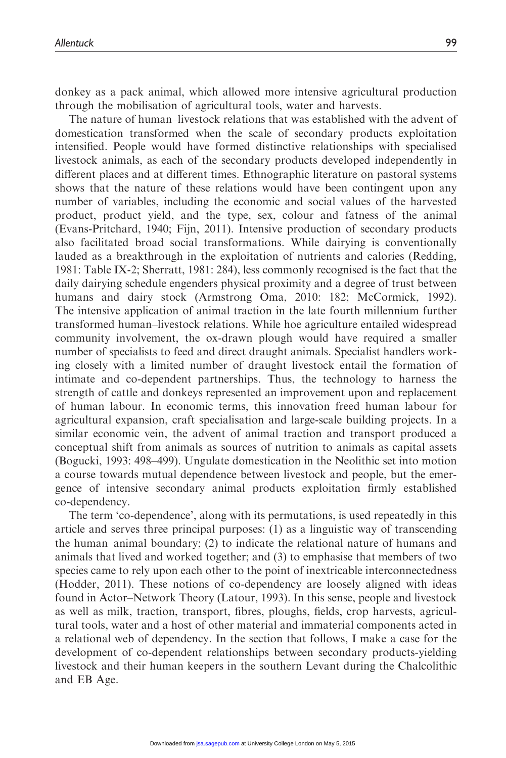donkey as a pack animal, which allowed more intensive agricultural production through the mobilisation of agricultural tools, water and harvests.

The nature of human–livestock relations that was established with the advent of domestication transformed when the scale of secondary products exploitation intensified. People would have formed distinctive relationships with specialised livestock animals, as each of the secondary products developed independently in different places and at different times. Ethnographic literature on pastoral systems shows that the nature of these relations would have been contingent upon any number of variables, including the economic and social values of the harvested product, product yield, and the type, sex, colour and fatness of the animal (Evans-Pritchard, 1940; Fijn, 2011). Intensive production of secondary products also facilitated broad social transformations. While dairying is conventionally lauded as a breakthrough in the exploitation of nutrients and calories (Redding, 1981: Table IX-2; Sherratt, 1981: 284), less commonly recognised is the fact that the daily dairying schedule engenders physical proximity and a degree of trust between humans and dairy stock (Armstrong Oma, 2010: 182; McCormick, 1992). The intensive application of animal traction in the late fourth millennium further transformed human–livestock relations. While hoe agriculture entailed widespread community involvement, the ox-drawn plough would have required a smaller number of specialists to feed and direct draught animals. Specialist handlers working closely with a limited number of draught livestock entail the formation of intimate and co-dependent partnerships. Thus, the technology to harness the strength of cattle and donkeys represented an improvement upon and replacement of human labour. In economic terms, this innovation freed human labour for agricultural expansion, craft specialisation and large-scale building projects. In a similar economic vein, the advent of animal traction and transport produced a conceptual shift from animals as sources of nutrition to animals as capital assets (Bogucki, 1993: 498–499). Ungulate domestication in the Neolithic set into motion a course towards mutual dependence between livestock and people, but the emergence of intensive secondary animal products exploitation firmly established co-dependency.

The term 'co-dependence', along with its permutations, is used repeatedly in this article and serves three principal purposes: (1) as a linguistic way of transcending the human–animal boundary; (2) to indicate the relational nature of humans and animals that lived and worked together; and (3) to emphasise that members of two species came to rely upon each other to the point of inextricable interconnectedness (Hodder, 2011). These notions of co-dependency are loosely aligned with ideas found in Actor–Network Theory (Latour, 1993). In this sense, people and livestock as well as milk, traction, transport, fibres, ploughs, fields, crop harvests, agricultural tools, water and a host of other material and immaterial components acted in a relational web of dependency. In the section that follows, I make a case for the development of co-dependent relationships between secondary products-yielding livestock and their human keepers in the southern Levant during the Chalcolithic and EB Age.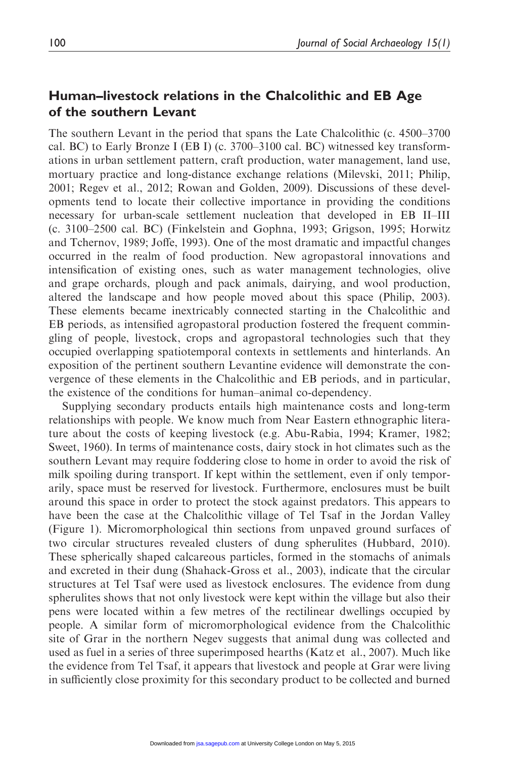# Human–livestock relations in the Chalcolithic and EB Age of the southern Levant

The southern Levant in the period that spans the Late Chalcolithic (c. 4500–3700 cal. BC) to Early Bronze I (EB I) (c. 3700–3100 cal. BC) witnessed key transformations in urban settlement pattern, craft production, water management, land use, mortuary practice and long-distance exchange relations (Milevski, 2011; Philip, 2001; Regev et al., 2012; Rowan and Golden, 2009). Discussions of these developments tend to locate their collective importance in providing the conditions necessary for urban-scale settlement nucleation that developed in EB II–III (c. 3100–2500 cal. BC) (Finkelstein and Gophna, 1993; Grigson, 1995; Horwitz and Tchernov, 1989; Joffe, 1993). One of the most dramatic and impactful changes occurred in the realm of food production. New agropastoral innovations and intensification of existing ones, such as water management technologies, olive and grape orchards, plough and pack animals, dairying, and wool production, altered the landscape and how people moved about this space (Philip, 2003). These elements became inextricably connected starting in the Chalcolithic and EB periods, as intensified agropastoral production fostered the frequent commingling of people, livestock, crops and agropastoral technologies such that they occupied overlapping spatiotemporal contexts in settlements and hinterlands. An exposition of the pertinent southern Levantine evidence will demonstrate the convergence of these elements in the Chalcolithic and EB periods, and in particular, the existence of the conditions for human–animal co-dependency.

Supplying secondary products entails high maintenance costs and long-term relationships with people. We know much from Near Eastern ethnographic literature about the costs of keeping livestock (e.g. Abu-Rabia, 1994; Kramer, 1982; Sweet, 1960). In terms of maintenance costs, dairy stock in hot climates such as the southern Levant may require foddering close to home in order to avoid the risk of milk spoiling during transport. If kept within the settlement, even if only temporarily, space must be reserved for livestock. Furthermore, enclosures must be built around this space in order to protect the stock against predators. This appears to have been the case at the Chalcolithic village of Tel Tsaf in the Jordan Valley (Figure 1). Micromorphological thin sections from unpaved ground surfaces of two circular structures revealed clusters of dung spherulites (Hubbard, 2010). These spherically shaped calcareous particles, formed in the stomachs of animals and excreted in their dung (Shahack-Gross et al., 2003), indicate that the circular structures at Tel Tsaf were used as livestock enclosures. The evidence from dung spherulites shows that not only livestock were kept within the village but also their pens were located within a few metres of the rectilinear dwellings occupied by people. A similar form of micromorphological evidence from the Chalcolithic site of Grar in the northern Negev suggests that animal dung was collected and used as fuel in a series of three superimposed hearths (Katz et al., 2007). Much like the evidence from Tel Tsaf, it appears that livestock and people at Grar were living in sufficiently close proximity for this secondary product to be collected and burned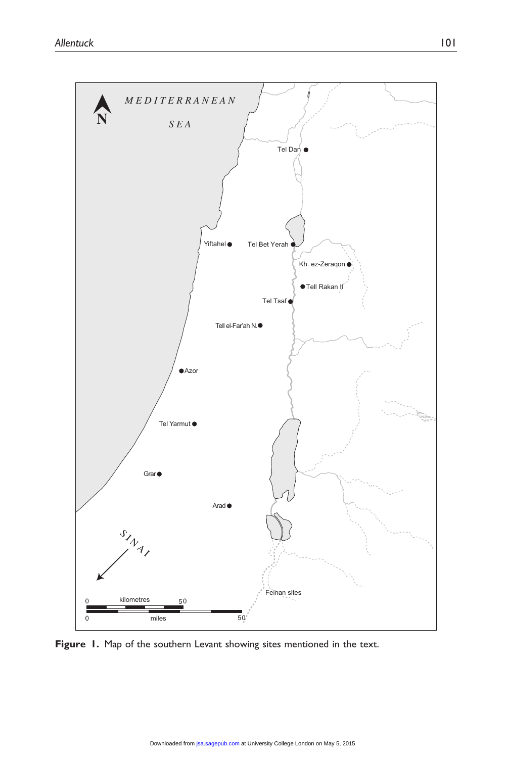

Figure 1. Map of the southern Levant showing sites mentioned in the text.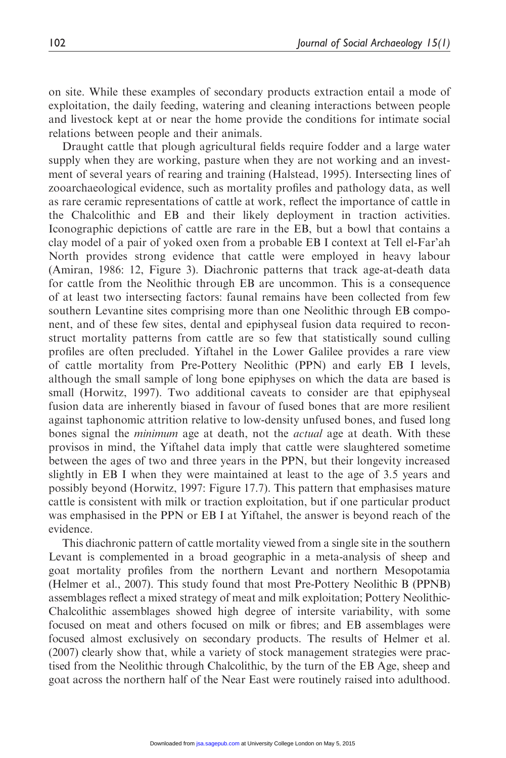on site. While these examples of secondary products extraction entail a mode of exploitation, the daily feeding, watering and cleaning interactions between people and livestock kept at or near the home provide the conditions for intimate social relations between people and their animals.

Draught cattle that plough agricultural fields require fodder and a large water supply when they are working, pasture when they are not working and an investment of several years of rearing and training (Halstead, 1995). Intersecting lines of zooarchaeological evidence, such as mortality profiles and pathology data, as well as rare ceramic representations of cattle at work, reflect the importance of cattle in the Chalcolithic and EB and their likely deployment in traction activities. Iconographic depictions of cattle are rare in the EB, but a bowl that contains a clay model of a pair of yoked oxen from a probable EB I context at Tell el-Far'ah North provides strong evidence that cattle were employed in heavy labour (Amiran, 1986: 12, Figure 3). Diachronic patterns that track age-at-death data for cattle from the Neolithic through EB are uncommon. This is a consequence of at least two intersecting factors: faunal remains have been collected from few southern Levantine sites comprising more than one Neolithic through EB component, and of these few sites, dental and epiphyseal fusion data required to reconstruct mortality patterns from cattle are so few that statistically sound culling profiles are often precluded. Yiftahel in the Lower Galilee provides a rare view of cattle mortality from Pre-Pottery Neolithic (PPN) and early EB I levels, although the small sample of long bone epiphyses on which the data are based is small (Horwitz, 1997). Two additional caveats to consider are that epiphyseal fusion data are inherently biased in favour of fused bones that are more resilient against taphonomic attrition relative to low-density unfused bones, and fused long bones signal the *minimum* age at death, not the *actual* age at death. With these provisos in mind, the Yiftahel data imply that cattle were slaughtered sometime between the ages of two and three years in the PPN, but their longevity increased slightly in EB I when they were maintained at least to the age of 3.5 years and possibly beyond (Horwitz, 1997: Figure 17.7). This pattern that emphasises mature cattle is consistent with milk or traction exploitation, but if one particular product was emphasised in the PPN or EB I at Yiftahel, the answer is beyond reach of the evidence.

This diachronic pattern of cattle mortality viewed from a single site in the southern Levant is complemented in a broad geographic in a meta-analysis of sheep and goat mortality profiles from the northern Levant and northern Mesopotamia (Helmer et al., 2007). This study found that most Pre-Pottery Neolithic B (PPNB) assemblages reflect a mixed strategy of meat and milk exploitation; Pottery Neolithic-Chalcolithic assemblages showed high degree of intersite variability, with some focused on meat and others focused on milk or fibres; and EB assemblages were focused almost exclusively on secondary products. The results of Helmer et al. (2007) clearly show that, while a variety of stock management strategies were practised from the Neolithic through Chalcolithic, by the turn of the EB Age, sheep and goat across the northern half of the Near East were routinely raised into adulthood.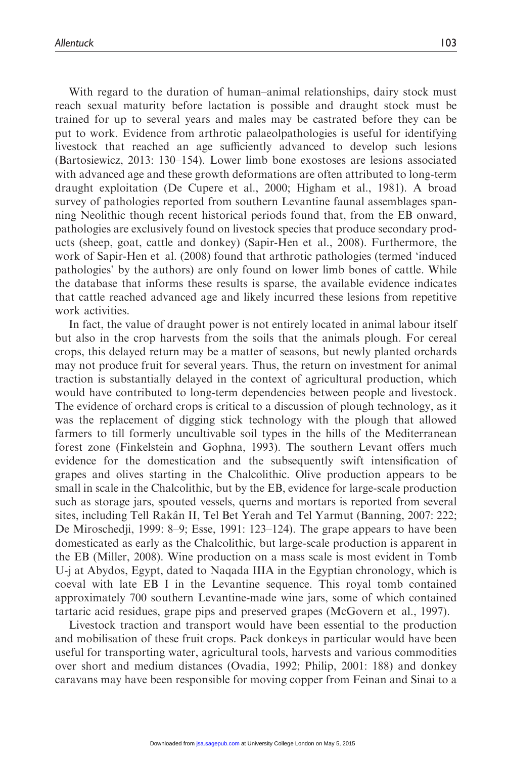With regard to the duration of human–animal relationships, dairy stock must reach sexual maturity before lactation is possible and draught stock must be trained for up to several years and males may be castrated before they can be put to work. Evidence from arthrotic palaeolpathologies is useful for identifying livestock that reached an age sufficiently advanced to develop such lesions (Bartosiewicz, 2013: 130–154). Lower limb bone exostoses are lesions associated with advanced age and these growth deformations are often attributed to long-term draught exploitation (De Cupere et al., 2000; Higham et al., 1981). A broad survey of pathologies reported from southern Levantine faunal assemblages spanning Neolithic though recent historical periods found that, from the EB onward, pathologies are exclusively found on livestock species that produce secondary products (sheep, goat, cattle and donkey) (Sapir-Hen et al., 2008). Furthermore, the work of Sapir-Hen et al. (2008) found that arthrotic pathologies (termed 'induced pathologies' by the authors) are only found on lower limb bones of cattle. While the database that informs these results is sparse, the available evidence indicates that cattle reached advanced age and likely incurred these lesions from repetitive work activities.

In fact, the value of draught power is not entirely located in animal labour itself but also in the crop harvests from the soils that the animals plough. For cereal crops, this delayed return may be a matter of seasons, but newly planted orchards may not produce fruit for several years. Thus, the return on investment for animal traction is substantially delayed in the context of agricultural production, which would have contributed to long-term dependencies between people and livestock. The evidence of orchard crops is critical to a discussion of plough technology, as it was the replacement of digging stick technology with the plough that allowed farmers to till formerly uncultivable soil types in the hills of the Mediterranean forest zone (Finkelstein and Gophna, 1993). The southern Levant offers much evidence for the domestication and the subsequently swift intensification of grapes and olives starting in the Chalcolithic. Olive production appears to be small in scale in the Chalcolithic, but by the EB, evidence for large-scale production such as storage jars, spouted vessels, querns and mortars is reported from several sites, including Tell Rakân II, Tel Bet Yerah and Tel Yarmut (Banning, 2007: 222; De Miroschedji, 1999: 8–9; Esse, 1991: 123–124). The grape appears to have been domesticated as early as the Chalcolithic, but large-scale production is apparent in the EB (Miller, 2008). Wine production on a mass scale is most evident in Tomb U-j at Abydos, Egypt, dated to Naqada IIIA in the Egyptian chronology, which is coeval with late EB I in the Levantine sequence. This royal tomb contained approximately 700 southern Levantine-made wine jars, some of which contained tartaric acid residues, grape pips and preserved grapes (McGovern et al., 1997).

Livestock traction and transport would have been essential to the production and mobilisation of these fruit crops. Pack donkeys in particular would have been useful for transporting water, agricultural tools, harvests and various commodities over short and medium distances (Ovadia, 1992; Philip, 2001: 188) and donkey caravans may have been responsible for moving copper from Feinan and Sinai to a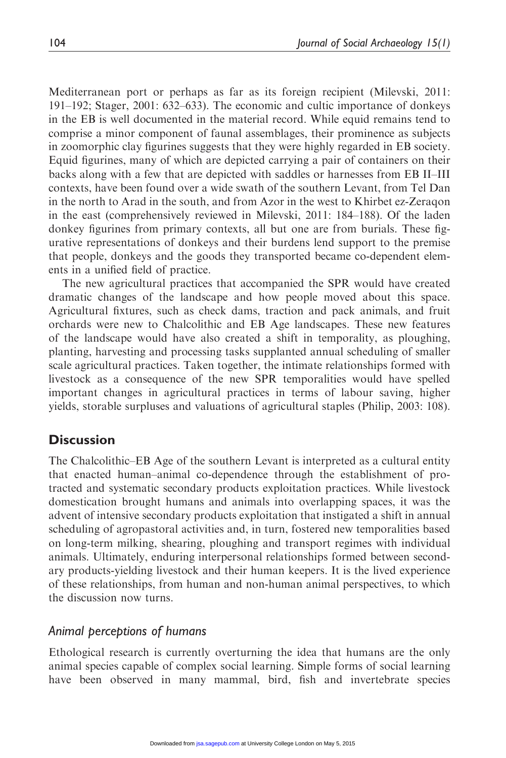Mediterranean port or perhaps as far as its foreign recipient (Milevski, 2011: 191–192; Stager, 2001: 632–633). The economic and cultic importance of donkeys in the EB is well documented in the material record. While equid remains tend to comprise a minor component of faunal assemblages, their prominence as subjects in zoomorphic clay figurines suggests that they were highly regarded in EB society. Equid figurines, many of which are depicted carrying a pair of containers on their backs along with a few that are depicted with saddles or harnesses from EB II–III contexts, have been found over a wide swath of the southern Levant, from Tel Dan in the north to Arad in the south, and from Azor in the west to Khirbet ez-Zeraqon in the east (comprehensively reviewed in Milevski, 2011: 184–188). Of the laden donkey figurines from primary contexts, all but one are from burials. These figurative representations of donkeys and their burdens lend support to the premise that people, donkeys and the goods they transported became co-dependent elements in a unified field of practice.

The new agricultural practices that accompanied the SPR would have created dramatic changes of the landscape and how people moved about this space. Agricultural fixtures, such as check dams, traction and pack animals, and fruit orchards were new to Chalcolithic and EB Age landscapes. These new features of the landscape would have also created a shift in temporality, as ploughing, planting, harvesting and processing tasks supplanted annual scheduling of smaller scale agricultural practices. Taken together, the intimate relationships formed with livestock as a consequence of the new SPR temporalities would have spelled important changes in agricultural practices in terms of labour saving, higher yields, storable surpluses and valuations of agricultural staples (Philip, 2003: 108).

### **Discussion**

The Chalcolithic–EB Age of the southern Levant is interpreted as a cultural entity that enacted human–animal co-dependence through the establishment of protracted and systematic secondary products exploitation practices. While livestock domestication brought humans and animals into overlapping spaces, it was the advent of intensive secondary products exploitation that instigated a shift in annual scheduling of agropastoral activities and, in turn, fostered new temporalities based on long-term milking, shearing, ploughing and transport regimes with individual animals. Ultimately, enduring interpersonal relationships formed between secondary products-yielding livestock and their human keepers. It is the lived experience of these relationships, from human and non-human animal perspectives, to which the discussion now turns.

### Animal perceptions of humans

Ethological research is currently overturning the idea that humans are the only animal species capable of complex social learning. Simple forms of social learning have been observed in many mammal, bird, fish and invertebrate species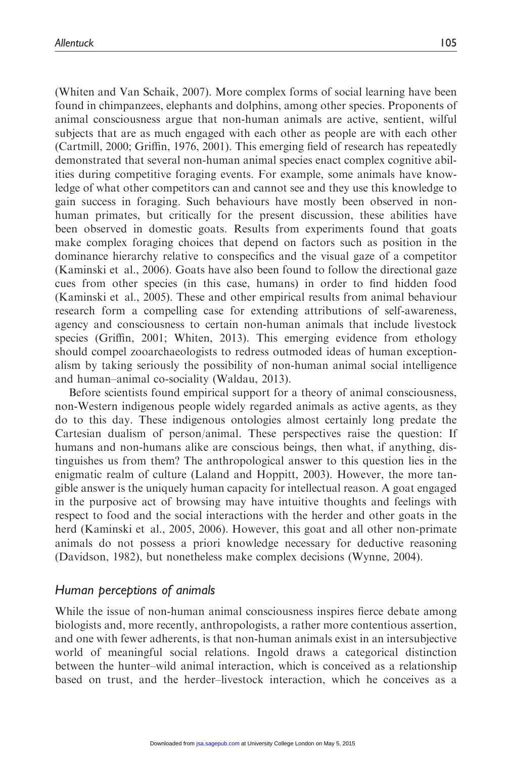(Whiten and Van Schaik, 2007). More complex forms of social learning have been found in chimpanzees, elephants and dolphins, among other species. Proponents of animal consciousness argue that non-human animals are active, sentient, wilful subjects that are as much engaged with each other as people are with each other (Cartmill, 2000; Griffin, 1976, 2001). This emerging field of research has repeatedly demonstrated that several non-human animal species enact complex cognitive abilities during competitive foraging events. For example, some animals have knowledge of what other competitors can and cannot see and they use this knowledge to gain success in foraging. Such behaviours have mostly been observed in nonhuman primates, but critically for the present discussion, these abilities have been observed in domestic goats. Results from experiments found that goats make complex foraging choices that depend on factors such as position in the dominance hierarchy relative to conspecifics and the visual gaze of a competitor (Kaminski et al., 2006). Goats have also been found to follow the directional gaze cues from other species (in this case, humans) in order to find hidden food (Kaminski et al., 2005). These and other empirical results from animal behaviour research form a compelling case for extending attributions of self-awareness, agency and consciousness to certain non-human animals that include livestock species (Griffin, 2001; Whiten, 2013). This emerging evidence from ethology should compel zooarchaeologists to redress outmoded ideas of human exceptionalism by taking seriously the possibility of non-human animal social intelligence and human–animal co-sociality (Waldau, 2013).

Before scientists found empirical support for a theory of animal consciousness, non-Western indigenous people widely regarded animals as active agents, as they do to this day. These indigenous ontologies almost certainly long predate the Cartesian dualism of person/animal. These perspectives raise the question: If humans and non-humans alike are conscious beings, then what, if anything, distinguishes us from them? The anthropological answer to this question lies in the enigmatic realm of culture (Laland and Hoppitt, 2003). However, the more tangible answer is the uniquely human capacity for intellectual reason. A goat engaged in the purposive act of browsing may have intuitive thoughts and feelings with respect to food and the social interactions with the herder and other goats in the herd (Kaminski et al., 2005, 2006). However, this goat and all other non-primate animals do not possess a priori knowledge necessary for deductive reasoning (Davidson, 1982), but nonetheless make complex decisions (Wynne, 2004).

### Human perceptions of animals

While the issue of non-human animal consciousness inspires fierce debate among biologists and, more recently, anthropologists, a rather more contentious assertion, and one with fewer adherents, is that non-human animals exist in an intersubjective world of meaningful social relations. Ingold draws a categorical distinction between the hunter–wild animal interaction, which is conceived as a relationship based on trust, and the herder–livestock interaction, which he conceives as a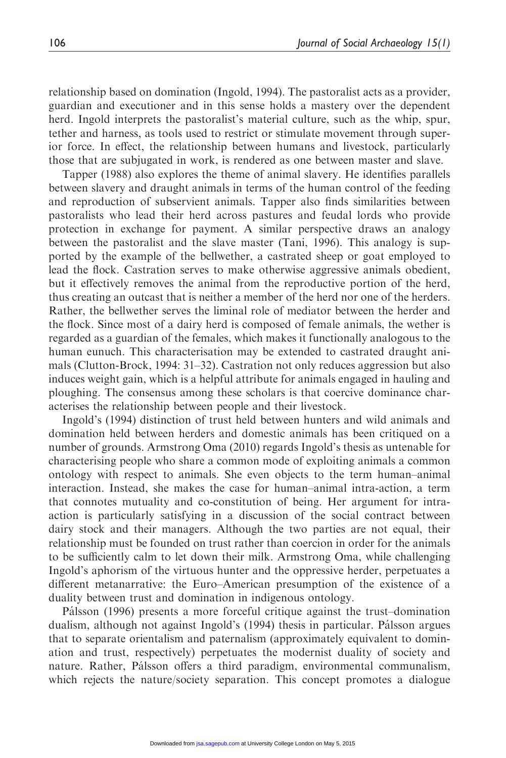relationship based on domination (Ingold, 1994). The pastoralist acts as a provider, guardian and executioner and in this sense holds a mastery over the dependent herd. Ingold interprets the pastoralist's material culture, such as the whip, spur, tether and harness, as tools used to restrict or stimulate movement through superior force. In effect, the relationship between humans and livestock, particularly those that are subjugated in work, is rendered as one between master and slave.

Tapper (1988) also explores the theme of animal slavery. He identifies parallels between slavery and draught animals in terms of the human control of the feeding and reproduction of subservient animals. Tapper also finds similarities between pastoralists who lead their herd across pastures and feudal lords who provide protection in exchange for payment. A similar perspective draws an analogy between the pastoralist and the slave master (Tani, 1996). This analogy is supported by the example of the bellwether, a castrated sheep or goat employed to lead the flock. Castration serves to make otherwise aggressive animals obedient, but it effectively removes the animal from the reproductive portion of the herd, thus creating an outcast that is neither a member of the herd nor one of the herders. Rather, the bellwether serves the liminal role of mediator between the herder and the flock. Since most of a dairy herd is composed of female animals, the wether is regarded as a guardian of the females, which makes it functionally analogous to the human eunuch. This characterisation may be extended to castrated draught animals (Clutton-Brock, 1994: 31–32). Castration not only reduces aggression but also induces weight gain, which is a helpful attribute for animals engaged in hauling and ploughing. The consensus among these scholars is that coercive dominance characterises the relationship between people and their livestock.

Ingold's (1994) distinction of trust held between hunters and wild animals and domination held between herders and domestic animals has been critiqued on a number of grounds. Armstrong Oma (2010) regards Ingold's thesis as untenable for characterising people who share a common mode of exploiting animals a common ontology with respect to animals. She even objects to the term human–animal interaction. Instead, she makes the case for human–animal intra-action, a term that connotes mutuality and co-constitution of being. Her argument for intraaction is particularly satisfying in a discussion of the social contract between dairy stock and their managers. Although the two parties are not equal, their relationship must be founded on trust rather than coercion in order for the animals to be sufficiently calm to let down their milk. Armstrong Oma, while challenging Ingold's aphorism of the virtuous hunter and the oppressive herder, perpetuates a different metanarrative: the Euro–American presumption of the existence of a duality between trust and domination in indigenous ontology.

Pálsson (1996) presents a more forceful critique against the trust–domination dualism, although not against Ingold's (1994) thesis in particular. Pálsson argues that to separate orientalism and paternalism (approximately equivalent to domination and trust, respectively) perpetuates the modernist duality of society and nature. Rather, Pálsson offers a third paradigm, environmental communalism, which rejects the nature/society separation. This concept promotes a dialogue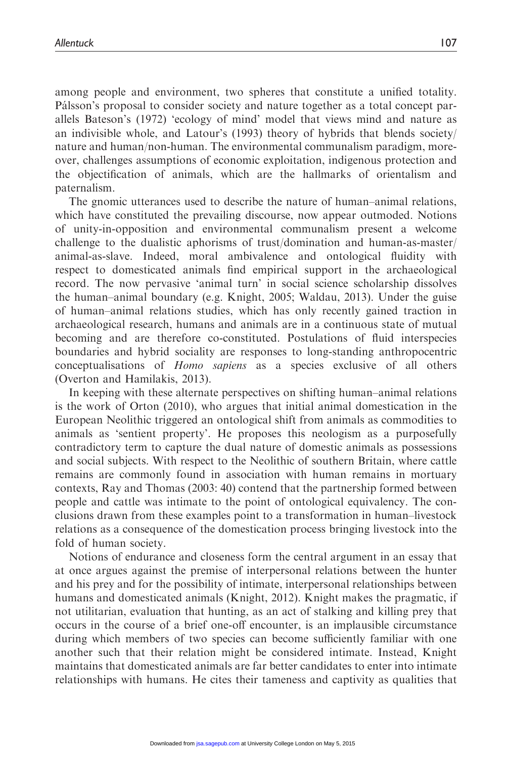among people and environment, two spheres that constitute a unified totality. Pálsson's proposal to consider society and nature together as a total concept parallels Bateson's (1972) 'ecology of mind' model that views mind and nature as an indivisible whole, and Latour's (1993) theory of hybrids that blends society/ nature and human/non-human. The environmental communalism paradigm, moreover, challenges assumptions of economic exploitation, indigenous protection and the objectification of animals, which are the hallmarks of orientalism and paternalism.

The gnomic utterances used to describe the nature of human–animal relations, which have constituted the prevailing discourse, now appear outmoded. Notions of unity-in-opposition and environmental communalism present a welcome challenge to the dualistic aphorisms of trust/domination and human-as-master/ animal-as-slave. Indeed, moral ambivalence and ontological fluidity with respect to domesticated animals find empirical support in the archaeological record. The now pervasive 'animal turn' in social science scholarship dissolves the human–animal boundary (e.g. Knight, 2005; Waldau, 2013). Under the guise of human–animal relations studies, which has only recently gained traction in archaeological research, humans and animals are in a continuous state of mutual becoming and are therefore co-constituted. Postulations of fluid interspecies boundaries and hybrid sociality are responses to long-standing anthropocentric conceptualisations of Homo sapiens as a species exclusive of all others (Overton and Hamilakis, 2013).

In keeping with these alternate perspectives on shifting human–animal relations is the work of Orton (2010), who argues that initial animal domestication in the European Neolithic triggered an ontological shift from animals as commodities to animals as 'sentient property'. He proposes this neologism as a purposefully contradictory term to capture the dual nature of domestic animals as possessions and social subjects. With respect to the Neolithic of southern Britain, where cattle remains are commonly found in association with human remains in mortuary contexts, Ray and Thomas (2003: 40) contend that the partnership formed between people and cattle was intimate to the point of ontological equivalency. The conclusions drawn from these examples point to a transformation in human–livestock relations as a consequence of the domestication process bringing livestock into the fold of human society.

Notions of endurance and closeness form the central argument in an essay that at once argues against the premise of interpersonal relations between the hunter and his prey and for the possibility of intimate, interpersonal relationships between humans and domesticated animals (Knight, 2012). Knight makes the pragmatic, if not utilitarian, evaluation that hunting, as an act of stalking and killing prey that occurs in the course of a brief one-off encounter, is an implausible circumstance during which members of two species can become sufficiently familiar with one another such that their relation might be considered intimate. Instead, Knight maintains that domesticated animals are far better candidates to enter into intimate relationships with humans. He cites their tameness and captivity as qualities that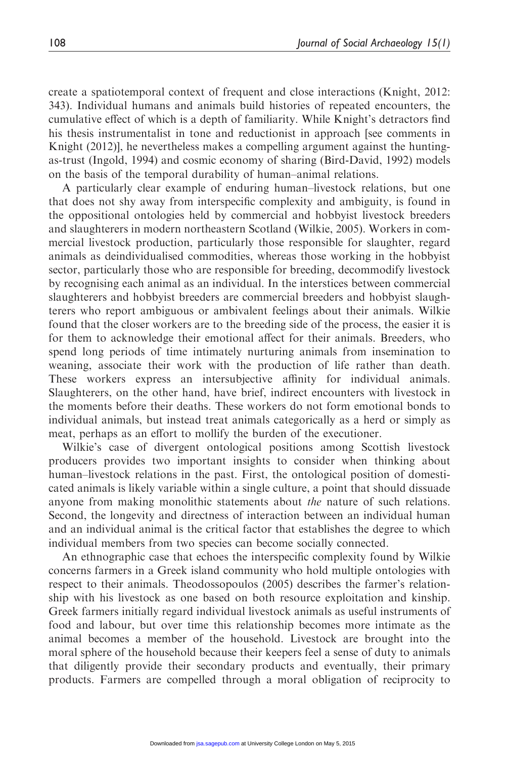create a spatiotemporal context of frequent and close interactions (Knight, 2012: 343). Individual humans and animals build histories of repeated encounters, the cumulative effect of which is a depth of familiarity. While Knight's detractors find his thesis instrumentalist in tone and reductionist in approach [see comments in Knight (2012)], he nevertheless makes a compelling argument against the huntingas-trust (Ingold, 1994) and cosmic economy of sharing (Bird-David, 1992) models on the basis of the temporal durability of human–animal relations.

A particularly clear example of enduring human–livestock relations, but one that does not shy away from interspecific complexity and ambiguity, is found in the oppositional ontologies held by commercial and hobbyist livestock breeders and slaughterers in modern northeastern Scotland (Wilkie, 2005). Workers in commercial livestock production, particularly those responsible for slaughter, regard animals as deindividualised commodities, whereas those working in the hobbyist sector, particularly those who are responsible for breeding, decommodify livestock by recognising each animal as an individual. In the interstices between commercial slaughterers and hobbyist breeders are commercial breeders and hobbyist slaughterers who report ambiguous or ambivalent feelings about their animals. Wilkie found that the closer workers are to the breeding side of the process, the easier it is for them to acknowledge their emotional affect for their animals. Breeders, who spend long periods of time intimately nurturing animals from insemination to weaning, associate their work with the production of life rather than death. These workers express an intersubjective affinity for individual animals. Slaughterers, on the other hand, have brief, indirect encounters with livestock in the moments before their deaths. These workers do not form emotional bonds to individual animals, but instead treat animals categorically as a herd or simply as meat, perhaps as an effort to mollify the burden of the executioner.

Wilkie's case of divergent ontological positions among Scottish livestock producers provides two important insights to consider when thinking about human–livestock relations in the past. First, the ontological position of domesticated animals is likely variable within a single culture, a point that should dissuade anyone from making monolithic statements about the nature of such relations. Second, the longevity and directness of interaction between an individual human and an individual animal is the critical factor that establishes the degree to which individual members from two species can become socially connected.

An ethnographic case that echoes the interspecific complexity found by Wilkie concerns farmers in a Greek island community who hold multiple ontologies with respect to their animals. Theodossopoulos (2005) describes the farmer's relationship with his livestock as one based on both resource exploitation and kinship. Greek farmers initially regard individual livestock animals as useful instruments of food and labour, but over time this relationship becomes more intimate as the animal becomes a member of the household. Livestock are brought into the moral sphere of the household because their keepers feel a sense of duty to animals that diligently provide their secondary products and eventually, their primary products. Farmers are compelled through a moral obligation of reciprocity to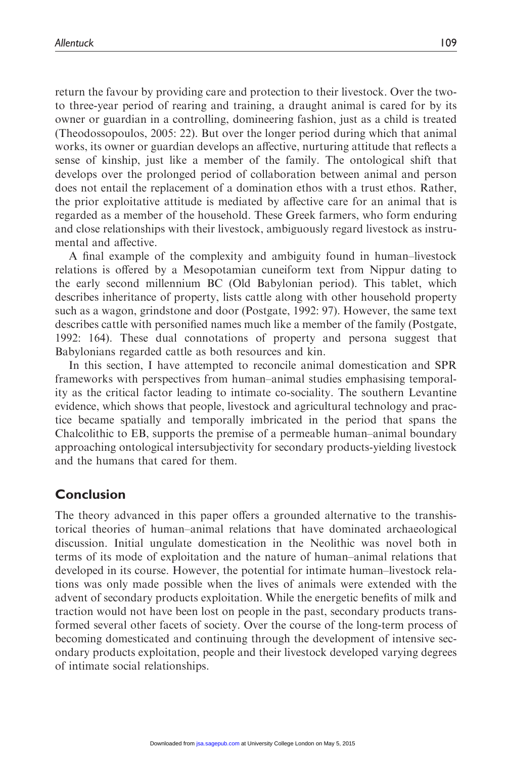return the favour by providing care and protection to their livestock. Over the twoto three-year period of rearing and training, a draught animal is cared for by its owner or guardian in a controlling, domineering fashion, just as a child is treated (Theodossopoulos, 2005: 22). But over the longer period during which that animal works, its owner or guardian develops an affective, nurturing attitude that reflects a sense of kinship, just like a member of the family. The ontological shift that develops over the prolonged period of collaboration between animal and person does not entail the replacement of a domination ethos with a trust ethos. Rather, the prior exploitative attitude is mediated by affective care for an animal that is regarded as a member of the household. These Greek farmers, who form enduring and close relationships with their livestock, ambiguously regard livestock as instrumental and affective.

A final example of the complexity and ambiguity found in human–livestock relations is offered by a Mesopotamian cuneiform text from Nippur dating to the early second millennium BC (Old Babylonian period). This tablet, which describes inheritance of property, lists cattle along with other household property such as a wagon, grindstone and door (Postgate, 1992: 97). However, the same text describes cattle with personified names much like a member of the family (Postgate, 1992: 164). These dual connotations of property and persona suggest that Babylonians regarded cattle as both resources and kin.

In this section, I have attempted to reconcile animal domestication and SPR frameworks with perspectives from human–animal studies emphasising temporality as the critical factor leading to intimate co-sociality. The southern Levantine evidence, which shows that people, livestock and agricultural technology and practice became spatially and temporally imbricated in the period that spans the Chalcolithic to EB, supports the premise of a permeable human–animal boundary approaching ontological intersubjectivity for secondary products-yielding livestock and the humans that cared for them.

### Conclusion

The theory advanced in this paper offers a grounded alternative to the transhistorical theories of human–animal relations that have dominated archaeological discussion. Initial ungulate domestication in the Neolithic was novel both in terms of its mode of exploitation and the nature of human–animal relations that developed in its course. However, the potential for intimate human–livestock relations was only made possible when the lives of animals were extended with the advent of secondary products exploitation. While the energetic benefits of milk and traction would not have been lost on people in the past, secondary products transformed several other facets of society. Over the course of the long-term process of becoming domesticated and continuing through the development of intensive secondary products exploitation, people and their livestock developed varying degrees of intimate social relationships.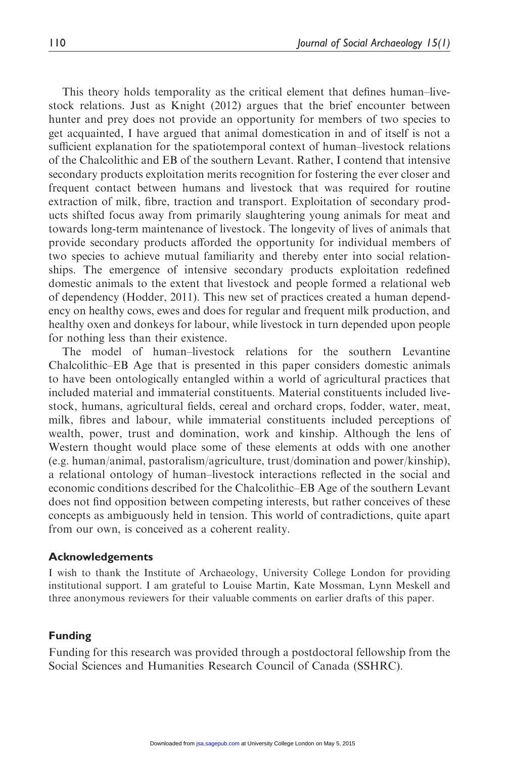This theory holds temporality as the critical element that defines human–livestock relations. Just as Knight (2012) argues that the brief encounter between hunter and prey does not provide an opportunity for members of two species to get acquainted, I have argued that animal domestication in and of itself is not a sufficient explanation for the spatiotemporal context of human–livestock relations of the Chalcolithic and EB of the southern Levant. Rather, I contend that intensive secondary products exploitation merits recognition for fostering the ever closer and frequent contact between humans and livestock that was required for routine extraction of milk, fibre, traction and transport. Exploitation of secondary products shifted focus away from primarily slaughtering young animals for meat and towards long-term maintenance of livestock. The longevity of lives of animals that provide secondary products afforded the opportunity for individual members of two species to achieve mutual familiarity and thereby enter into social relationships. The emergence of intensive secondary products exploitation redefined domestic animals to the extent that livestock and people formed a relational web of dependency (Hodder, 2011). This new set of practices created a human dependency on healthy cows, ewes and does for regular and frequent milk production, and healthy oxen and donkeys for labour, while livestock in turn depended upon people for nothing less than their existence.

The model of human–livestock relations for the southern Levantine Chalcolithic–EB Age that is presented in this paper considers domestic animals to have been ontologically entangled within a world of agricultural practices that included material and immaterial constituents. Material constituents included livestock, humans, agricultural fields, cereal and orchard crops, fodder, water, meat, milk, fibres and labour, while immaterial constituents included perceptions of wealth, power, trust and domination, work and kinship. Although the lens of Western thought would place some of these elements at odds with one another (e.g. human/animal, pastoralism/agriculture, trust/domination and power/kinship), a relational ontology of human–livestock interactions reflected in the social and economic conditions described for the Chalcolithic–EB Age of the southern Levant does not find opposition between competing interests, but rather conceives of these concepts as ambiguously held in tension. This world of contradictions, quite apart from our own, is conceived as a coherent reality.

### Acknowledgements

I wish to thank the Institute of Archaeology, University College London for providing institutional support. I am grateful to Louise Martin, Kate Mossman, Lynn Meskell and three anonymous reviewers for their valuable comments on earlier drafts of this paper.

#### Funding

Funding for this research was provided through a postdoctoral fellowship from the Social Sciences and Humanities Research Council of Canada (SSHRC).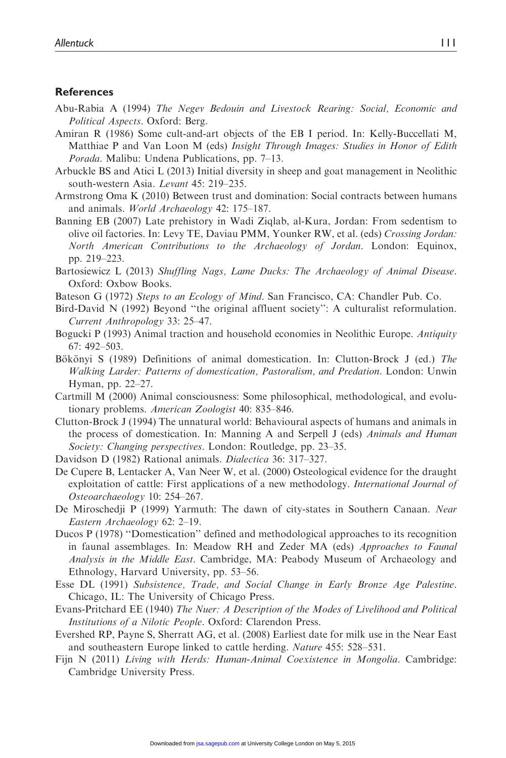### **References**

- Abu-Rabia A (1994) The Negev Bedouin and Livestock Rearing: Social, Economic and Political Aspects. Oxford: Berg.
- Amiran R (1986) Some cult-and-art objects of the EB I period. In: Kelly-Buccellati M, Matthiae P and Van Loon M (eds) Insight Through Images: Studies in Honor of Edith Porada. Malibu: Undena Publications, pp. 7–13.
- Arbuckle BS and Atici L (2013) Initial diversity in sheep and goat management in Neolithic south-western Asia. Levant 45: 219–235.
- Armstrong Oma K (2010) Between trust and domination: Social contracts between humans and animals. World Archaeology 42: 175–187.
- Banning EB (2007) Late prehistory in Wadi Ziqlab, al-Kura, Jordan: From sedentism to olive oil factories. In: Levy TE, Daviau PMM, Younker RW, et al. (eds) Crossing Jordan: North American Contributions to the Archaeology of Jordan. London: Equinox, pp. 219–223.
- Bartosiewicz L (2013) Shuffling Nags, Lame Ducks: The Archaeology of Animal Disease. Oxford: Oxbow Books.
- Bateson G (1972) Steps to an Ecology of Mind. San Francisco, CA: Chandler Pub. Co.
- Bird-David N (1992) Beyond ''the original affluent society'': A culturalist reformulation. Current Anthropology 33: 25–47.
- Bogucki P (1993) Animal traction and household economies in Neolithic Europe. Antiquity 67: 492–503.
- Bökönyi S (1989) Definitions of animal domestication. In: Clutton-Brock J (ed.) The Walking Larder: Patterns of domestication, Pastoralism, and Predation. London: Unwin Hyman, pp. 22–27.
- Cartmill M (2000) Animal consciousness: Some philosophical, methodological, and evolutionary problems. American Zoologist 40: 835–846.
- Clutton-Brock J (1994) The unnatural world: Behavioural aspects of humans and animals in the process of domestication. In: Manning A and Serpell J (eds) Animals and Human Society: Changing perspectives. London: Routledge, pp. 23–35.
- Davidson D (1982) Rational animals. Dialectica 36: 317–327.
- De Cupere B, Lentacker A, Van Neer W, et al. (2000) Osteological evidence for the draught exploitation of cattle: First applications of a new methodology. *International Journal of* Osteoarchaeology 10: 254–267.
- De Miroschedji P (1999) Yarmuth: The dawn of city-states in Southern Canaan. Near Eastern Archaeology 62: 2–19.
- Ducos P (1978) ''Domestication'' defined and methodological approaches to its recognition in faunal assemblages. In: Meadow RH and Zeder MA (eds) Approaches to Faunal Analysis in the Middle East. Cambridge, MA: Peabody Museum of Archaeology and Ethnology, Harvard University, pp. 53–56.
- Esse DL (1991) Subsistence, Trade, and Social Change in Early Bronze Age Palestine. Chicago, IL: The University of Chicago Press.
- Evans-Pritchard EE (1940) The Nuer: A Description of the Modes of Livelihood and Political Institutions of a Nilotic People. Oxford: Clarendon Press.
- Evershed RP, Payne S, Sherratt AG, et al. (2008) Earliest date for milk use in the Near East and southeastern Europe linked to cattle herding. Nature 455: 528–531.
- Fijn N (2011) Living with Herds: Human-Animal Coexistence in Mongolia. Cambridge: Cambridge University Press.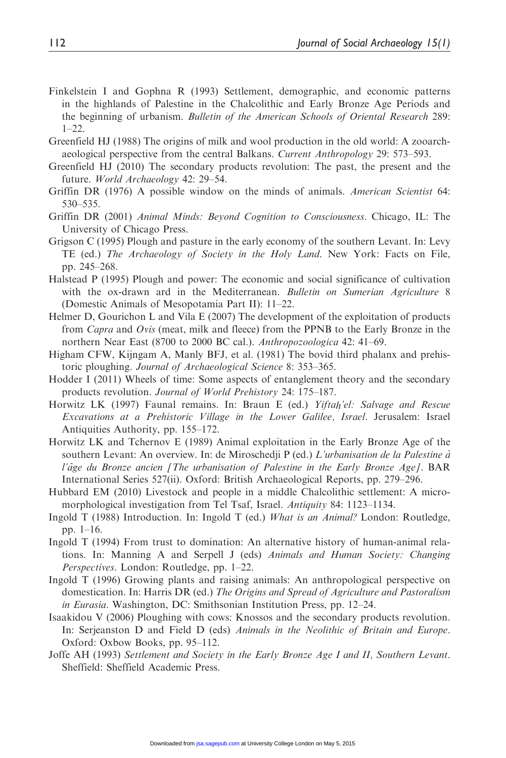- Finkelstein I and Gophna R (1993) Settlement, demographic, and economic patterns in the highlands of Palestine in the Chalcolithic and Early Bronze Age Periods and the beginning of urbanism. Bulletin of the American Schools of Oriental Research 289:  $1 - 22$ .
- Greenfield HJ (1988) The origins of milk and wool production in the old world: A zooarchaeological perspective from the central Balkans. Current Anthropology 29: 573–593.
- Greenfield HJ (2010) The secondary products revolution: The past, the present and the future. World Archaeology 42: 29–54.
- Griffin DR (1976) A possible window on the minds of animals. American Scientist 64: 530–535.
- Griffin DR (2001) Animal Minds: Beyond Cognition to Consciousness. Chicago, IL: The University of Chicago Press.
- Grigson C (1995) Plough and pasture in the early economy of the southern Levant. In: Levy TE (ed.) The Archaeology of Society in the Holy Land. New York: Facts on File, pp. 245–268.
- Halstead P (1995) Plough and power: The economic and social significance of cultivation with the ox-drawn ard in the Mediterranean. Bulletin on Sumerian Agriculture 8 (Domestic Animals of Mesopotamia Part II): 11–22.
- Helmer D, Gourichon L and Vila E (2007) The development of the exploitation of products from Capra and Ovis (meat, milk and fleece) from the PPNB to the Early Bronze in the northern Near East (8700 to 2000 BC cal.). Anthropozoologica 42: 41–69.
- Higham CFW, Kijngam A, Manly BFJ, et al. (1981) The bovid third phalanx and prehistoric ploughing. Journal of Archaeological Science 8: 353–365.
- Hodder I (2011) Wheels of time: Some aspects of entanglement theory and the secondary products revolution. Journal of World Prehistory 24: 175–187.
- Horwitz LK (1997) Faunal remains. In: Braun E (ed.) *Yiftah'el: Salvage and Rescue* - Excavations at a Prehistoric Village in the Lower Galilee, Israel. Jerusalem: Israel Antiquities Authority, pp. 155–172.
- Horwitz LK and Tchernov E (1989) Animal exploitation in the Early Bronze Age of the southern Levant: An overview. In: de Miroschedji P (ed.) L'urbanisation de la Palestine à l'âge du Bronze ancien [The urbanisation of Palestine in the Early Bronze Age]. BAR International Series 527(ii). Oxford: British Archaeological Reports, pp. 279–296.
- Hubbard EM (2010) Livestock and people in a middle Chalcolithic settlement: A micromorphological investigation from Tel Tsaf, Israel. Antiquity 84: 1123–1134.
- Ingold T (1988) Introduction. In: Ingold T (ed.) What is an Animal? London: Routledge, pp. 1–16.
- Ingold T (1994) From trust to domination: An alternative history of human-animal relations. In: Manning A and Serpell J (eds) Animals and Human Society: Changing Perspectives. London: Routledge, pp. 1–22.
- Ingold T (1996) Growing plants and raising animals: An anthropological perspective on domestication. In: Harris DR (ed.) The Origins and Spread of Agriculture and Pastoralism in Eurasia. Washington, DC: Smithsonian Institution Press, pp. 12–24.
- Isaakidou V (2006) Ploughing with cows: Knossos and the secondary products revolution. In: Serjeanston D and Field D (eds) Animals in the Neolithic of Britain and Europe. Oxford: Oxbow Books, pp. 95–112.
- Joffe AH (1993) Settlement and Society in the Early Bronze Age I and II, Southern Levant. Sheffield: Sheffield Academic Press.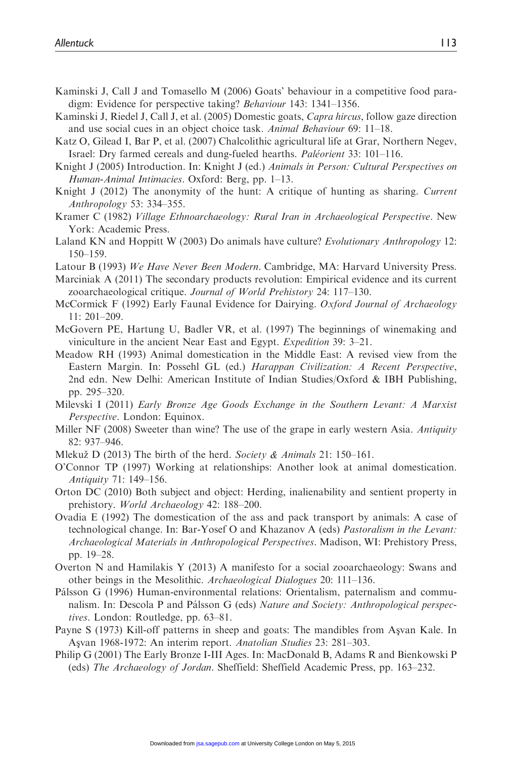- Kaminski J, Call J and Tomasello M (2006) Goats' behaviour in a competitive food paradigm: Evidence for perspective taking? Behaviour 143: 1341–1356.
- Kaminski J, Riedel J, Call J, et al. (2005) Domestic goats, Capra hircus, follow gaze direction and use social cues in an object choice task. Animal Behaviour 69: 11–18.
- Katz O, Gilead I, Bar P, et al. (2007) Chalcolithic agricultural life at Grar, Northern Negev, Israel: Dry farmed cereals and dung-fueled hearths. *Paléorient* 33: 101–116.
- Knight J (2005) Introduction. In: Knight J (ed.) Animals in Person: Cultural Perspectives on Human-Animal Intimacies. Oxford: Berg, pp. 1–13.
- Knight J (2012) The anonymity of the hunt: A critique of hunting as sharing. Current Anthropology 53: 334–355.
- Kramer C (1982) Village Ethnoarchaeology: Rural Iran in Archaeological Perspective. New York: Academic Press.
- Laland KN and Hoppitt W (2003) Do animals have culture? Evolutionary Anthropology 12: 150–159.
- Latour B (1993) We Have Never Been Modern. Cambridge, MA: Harvard University Press.
- Marciniak A (2011) The secondary products revolution: Empirical evidence and its current zooarchaeological critique. Journal of World Prehistory 24: 117–130.
- McCormick F (1992) Early Faunal Evidence for Dairying. Oxford Journal of Archaeology 11: 201–209.
- McGovern PE, Hartung U, Badler VR, et al. (1997) The beginnings of winemaking and viniculture in the ancient Near East and Egypt. Expedition 39: 3–21.
- Meadow RH (1993) Animal domestication in the Middle East: A revised view from the Eastern Margin. In: Possehl GL (ed.) Harappan Civilization: A Recent Perspective, 2nd edn. New Delhi: American Institute of Indian Studies/Oxford & IBH Publishing, pp. 295–320.
- Milevski I (2011) Early Bronze Age Goods Exchange in the Southern Levant: A Marxist Perspective. London: Equinox.
- Miller NF (2008) Sweeter than wine? The use of the grape in early western Asia. Antiquity 82: 937–946.
- Mlekuž D (2013) The birth of the herd. Society & Animals 21: 150–161.
- O'Connor TP (1997) Working at relationships: Another look at animal domestication. Antiquity 71: 149–156.
- Orton DC (2010) Both subject and object: Herding, inalienability and sentient property in prehistory. World Archaeology 42: 188–200.
- Ovadia E (1992) The domestication of the ass and pack transport by animals: A case of technological change. In: Bar-Yosef O and Khazanov A (eds) Pastoralism in the Levant: Archaeological Materials in Anthropological Perspectives. Madison, WI: Prehistory Press, pp. 19–28.
- Overton N and Hamilakis Y (2013) A manifesto for a social zooarchaeology: Swans and other beings in the Mesolithic. Archaeological Dialogues 20: 111–136.
- Pálsson G (1996) Human-environmental relations: Orientalism, paternalism and communalism. In: Descola P and Pálsson G (eds) Nature and Society: Anthropological perspectives. London: Routledge, pp. 63–81.
- Payne S (1973) Kill-off patterns in sheep and goats: The mandibles from Asyan Kale. In Asvan 1968-1972: An interim report. Anatolian Studies 23: 281-303.
- Philip G (2001) The Early Bronze I-III Ages. In: MacDonald B, Adams R and Bienkowski P (eds) The Archaeology of Jordan. Sheffield: Sheffield Academic Press, pp. 163–232.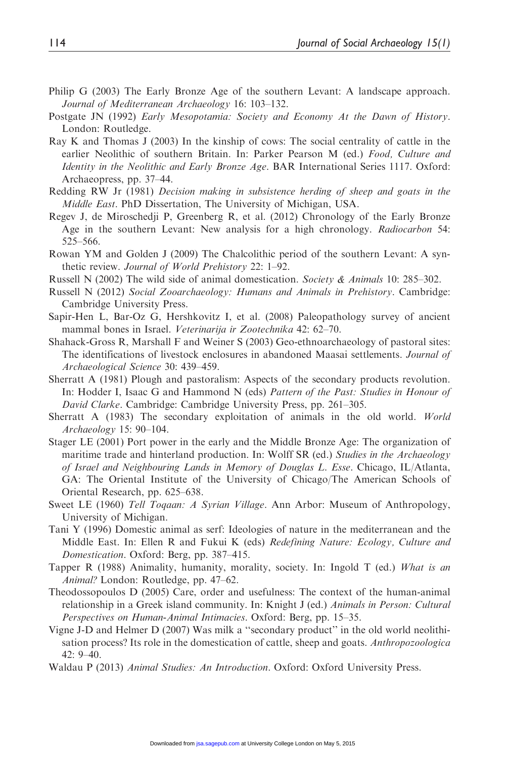- Philip G (2003) The Early Bronze Age of the southern Levant: A landscape approach. Journal of Mediterranean Archaeology 16: 103–132.
- Postgate JN (1992) Early Mesopotamia: Society and Economy At the Dawn of History. London: Routledge.
- Ray K and Thomas J (2003) In the kinship of cows: The social centrality of cattle in the earlier Neolithic of southern Britain. In: Parker Pearson M (ed.) Food, Culture and Identity in the Neolithic and Early Bronze Age. BAR International Series 1117. Oxford: Archaeopress, pp. 37–44.
- Redding RW Jr (1981) Decision making in subsistence herding of sheep and goats in the Middle East. PhD Dissertation, The University of Michigan, USA.
- Regev J, de Miroschedji P, Greenberg R, et al. (2012) Chronology of the Early Bronze Age in the southern Levant: New analysis for a high chronology. Radiocarbon 54: 525–566.
- Rowan YM and Golden J (2009) The Chalcolithic period of the southern Levant: A synthetic review. Journal of World Prehistory 22: 1–92.
- Russell N (2002) The wild side of animal domestication. Society & Animals 10: 285–302.
- Russell N (2012) Social Zooarchaeology: Humans and Animals in Prehistory. Cambridge: Cambridge University Press.
- Sapir-Hen L, Bar-Oz G, Hershkovitz I, et al. (2008) Paleopathology survey of ancient mammal bones in Israel. Veterinarija ir Zootechnika 42: 62–70.
- Shahack-Gross R, Marshall F and Weiner S (2003) Geo-ethnoarchaeology of pastoral sites: The identifications of livestock enclosures in abandoned Maasai settlements. Journal of Archaeological Science 30: 439–459.
- Sherratt A (1981) Plough and pastoralism: Aspects of the secondary products revolution. In: Hodder I, Isaac G and Hammond N (eds) Pattern of the Past: Studies in Honour of David Clarke. Cambridge: Cambridge University Press, pp. 261–305.
- Sherratt A (1983) The secondary exploitation of animals in the old world. World Archaeology 15: 90–104.
- Stager LE (2001) Port power in the early and the Middle Bronze Age: The organization of maritime trade and hinterland production. In: Wolff SR (ed.) Studies in the Archaeology of Israel and Neighbouring Lands in Memory of Douglas L. Esse. Chicago, IL/Atlanta, GA: The Oriental Institute of the University of Chicago/The American Schools of Oriental Research, pp. 625–638.
- Sweet LE (1960) Tell Toqaan: A Syrian Village. Ann Arbor: Museum of Anthropology, University of Michigan.
- Tani Y (1996) Domestic animal as serf: Ideologies of nature in the mediterranean and the Middle East. In: Ellen R and Fukui K (eds) Redefining Nature: Ecology, Culture and Domestication. Oxford: Berg, pp. 387–415.
- Tapper R (1988) Animality, humanity, morality, society. In: Ingold T (ed.) What is an Animal? London: Routledge, pp. 47–62.
- Theodossopoulos D (2005) Care, order and usefulness: The context of the human-animal relationship in a Greek island community. In: Knight J (ed.) Animals in Person: Cultural Perspectives on Human-Animal Intimacies. Oxford: Berg, pp. 15–35.
- Vigne J-D and Helmer D (2007) Was milk a ''secondary product'' in the old world neolithisation process? Its role in the domestication of cattle, sheep and goats. Anthropozoologica 42: 9–40.
- Waldau P (2013) Animal Studies: An Introduction. Oxford: Oxford University Press.